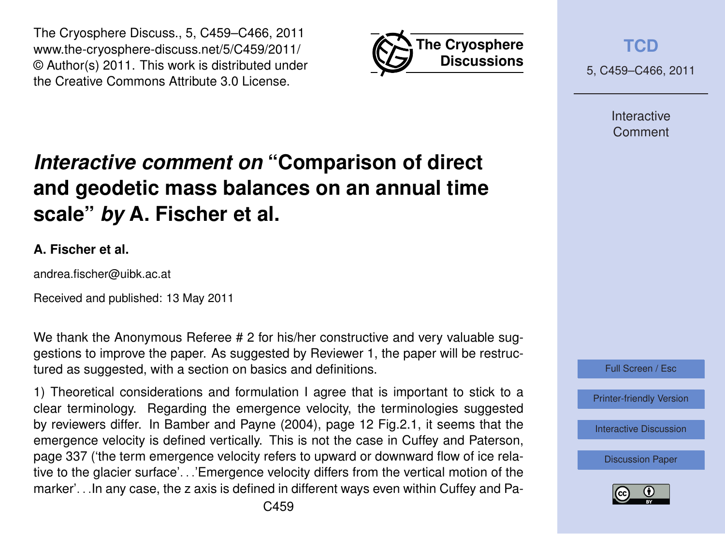



5, C459–C466, 2011

Interactive **Comment** 

# *Interactive comment on* **"Comparison of direct and geodetic mass balances on an annual time scale"** *by* **A. Fischer et al.**

#### **A. Fischer et al.**

andrea.fischer@uibk.ac.at

Received and published: 13 May 2011

We thank the Anonymous Referee # 2 for his/her constructive and very valuable suggestions to improve the paper. As suggested by Reviewer 1, the paper will be restructured as suggested, with a section on basics and definitions.

1) Theoretical considerations and formulation I agree that is important to stick to a clear terminology. Regarding the emergence velocity, the terminologies suggested by reviewers differ. In Bamber and Payne (2004), page 12 Fig.2.1, it seems that the emergence velocity is defined vertically. This is not the case in Cuffey and Paterson, page 337 ('the term emergence velocity refers to upward or downward flow of ice relative to the glacier surface'. . .'Emergence velocity differs from the vertical motion of the marker'. . .In any case, the z axis is defined in different ways even within Cuffey and Pa-



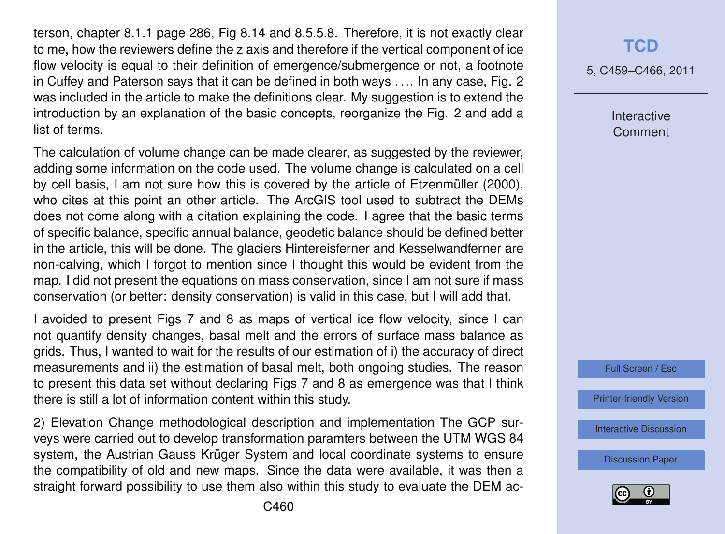terson, chapter 8.1.1 page 286, Fig 8.14 and 8.5.5.8. Therefore, it is not exactly clear to me, how the reviewers define the z axis and therefore if the vertical component of ice flow velocity is equal to their definition of emergence/submergence or not, a footnote in Cuffey and Paterson says that it can be defined in both ways . . .. In any case, Fig. 2 was included in the article to make the definitions clear. My suggestion is to extend the introduction by an explanation of the basic concepts, reorganize the Fig. 2 and add a list of terms.

The calculation of volume change can be made clearer, as suggested by the reviewer, adding some information on the code used. The volume change is calculated on a cell by cell basis, I am not sure how this is covered by the article of Etzenmüller (2000), who cites at this point an other article. The ArcGIS tool used to subtract the DEMs does not come along with a citation explaining the code. I agree that the basic terms of specific balance, specific annual balance, geodetic balance should be defined better in the article, this will be done. The glaciers Hintereisferner and Kesselwandferner are non-calving, which I forgot to mention since I thought this would be evident from the map. I did not present the equations on mass conservation, since I am not sure if mass conservation (or better: density conservation) is valid in this case, but I will add that.

I avoided to present Figs 7 and 8 as maps of vertical ice flow velocity, since I can not quantify density changes, basal melt and the errors of surface mass balance as grids. Thus, I wanted to wait for the results of our estimation of i) the accuracy of direct measurements and ii) the estimation of basal melt, both ongoing studies. The reason to present this data set without declaring Figs 7 and 8 as emergence was that I think there is still a lot of information content within this study.

2) Elevation Change methodological description and implementation The GCP surveys were carried out to develop transformation paramters between the UTM WGS 84 system, the Austrian Gauss Krüger System and local coordinate systems to ensure the compatibility of old and new maps. Since the data were available, it was then a straight forward possibility to use them also within this study to evaluate the DEM ac-

### **[TCD](http://www.the-cryosphere-discuss.net)**

5, C459–C466, 2011

Interactive **Comment** 



[Printer-friendly Version](http://www.the-cryosphere-discuss.net/5/C459/2011/tcd-5-C459-2011-print.pdf)

[Interactive Discussion](http://www.the-cryosphere-discuss.net/5/565/2011/tcd-5-565-2011-discussion.html)

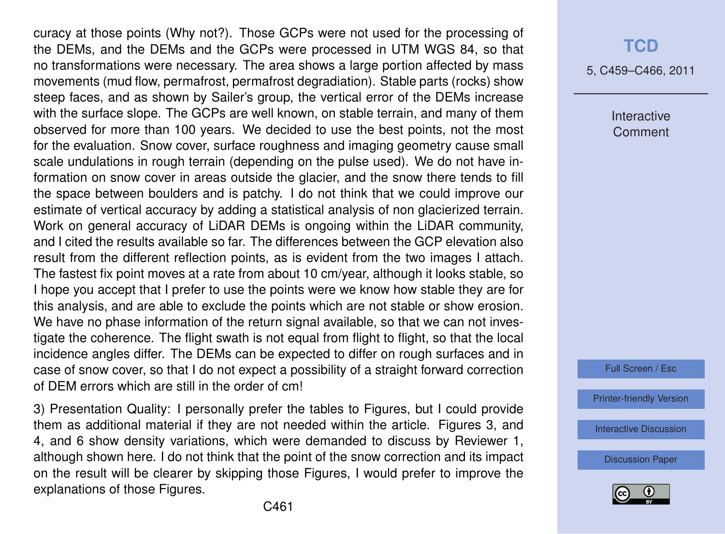curacy at those points (Why not?). Those GCPs were not used for the processing of the DEMs, and the DEMs and the GCPs were processed in UTM WGS 84, so that no transformations were necessary. The area shows a large portion affected by mass movements (mud flow, permafrost, permafrost degradiation). Stable parts (rocks) show steep faces, and as shown by Sailer's group, the vertical error of the DEMs increase with the surface slope. The GCPs are well known, on stable terrain, and many of them observed for more than 100 years. We decided to use the best points, not the most for the evaluation. Snow cover, surface roughness and imaging geometry cause small scale undulations in rough terrain (depending on the pulse used). We do not have information on snow cover in areas outside the glacier, and the snow there tends to fill the space between boulders and is patchy. I do not think that we could improve our estimate of vertical accuracy by adding a statistical analysis of non glacierized terrain. Work on general accuracy of LiDAR DEMs is ongoing within the LiDAR community, and I cited the results available so far. The differences between the GCP elevation also result from the different reflection points, as is evident from the two images I attach. The fastest fix point moves at a rate from about 10 cm/year, although it looks stable, so I hope you accept that I prefer to use the points were we know how stable they are for this analysis, and are able to exclude the points which are not stable or show erosion. We have no phase information of the return signal available, so that we can not investigate the coherence. The flight swath is not equal from flight to flight, so that the local incidence angles differ. The DEMs can be expected to differ on rough surfaces and in case of snow cover, so that I do not expect a possibility of a straight forward correction of DEM errors which are still in the order of cm!

3) Presentation Quality: I personally prefer the tables to Figures, but I could provide them as additional material if they are not needed within the article. Figures 3, and 4, and 6 show density variations, which were demanded to discuss by Reviewer 1, although shown here. I do not think that the point of the snow correction and its impact on the result will be clearer by skipping those Figures, I would prefer to improve the explanations of those Figures.

#### **[TCD](http://www.the-cryosphere-discuss.net)**

5, C459–C466, 2011

Interactive **Comment** 

Full Screen / Esc

[Printer-friendly Version](http://www.the-cryosphere-discuss.net/5/C459/2011/tcd-5-C459-2011-print.pdf)

[Interactive Discussion](http://www.the-cryosphere-discuss.net/5/565/2011/tcd-5-565-2011-discussion.html)

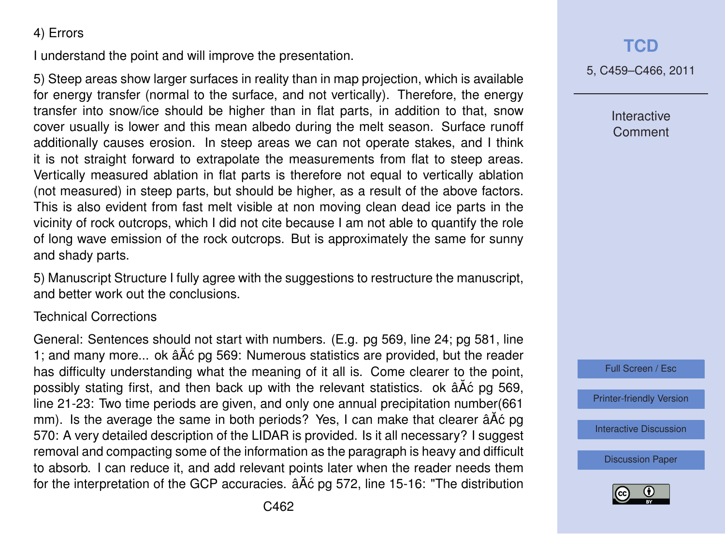#### 4) Errors

I understand the point and will improve the presentation.

5) Steep areas show larger surfaces in reality than in map projection, which is available for energy transfer (normal to the surface, and not vertically). Therefore, the energy transfer into snow/ice should be higher than in flat parts, in addition to that, snow cover usually is lower and this mean albedo during the melt season. Surface runoff additionally causes erosion. In steep areas we can not operate stakes, and I think it is not straight forward to extrapolate the measurements from flat to steep areas. Vertically measured ablation in flat parts is therefore not equal to vertically ablation (not measured) in steep parts, but should be higher, as a result of the above factors. This is also evident from fast melt visible at non moving clean dead ice parts in the vicinity of rock outcrops, which I did not cite because I am not able to quantify the role of long wave emission of the rock outcrops. But is approximately the same for sunny and shady parts.

5) Manuscript Structure I fully agree with the suggestions to restructure the manuscript, and better work out the conclusions.

#### Technical Corrections

General: Sentences should not start with numbers. (E.g. pg 569, line 24; pg 581, line 1; and many more... ok â Å c pg 569: Numerous statistics are provided, but the reader has difficulty understanding what the meaning of it all is. Come clearer to the point, possibly stating first, and then back up with the relevant statistics. ok âÅć pg 569, line 21-23: Two time periods are given, and only one annual precipitation number(661 mm). Is the average the same in both periods? Yes, I can make that clearer â A $\acute{\rm{c}}$  pg 570: A very detailed description of the LIDAR is provided. Is it all necessary? I suggest removal and compacting some of the information as the paragraph is heavy and difficult to absorb. I can reduce it, and add relevant points later when the reader needs them for the interpretation of the GCP accuracies.  $\hat{a}$   $\hat{A}$  c pg 572, line 15-16: "The distribution 5, C459–C466, 2011

Interactive **Comment** 



[Printer-friendly Version](http://www.the-cryosphere-discuss.net/5/C459/2011/tcd-5-C459-2011-print.pdf)

[Interactive Discussion](http://www.the-cryosphere-discuss.net/5/565/2011/tcd-5-565-2011-discussion.html)

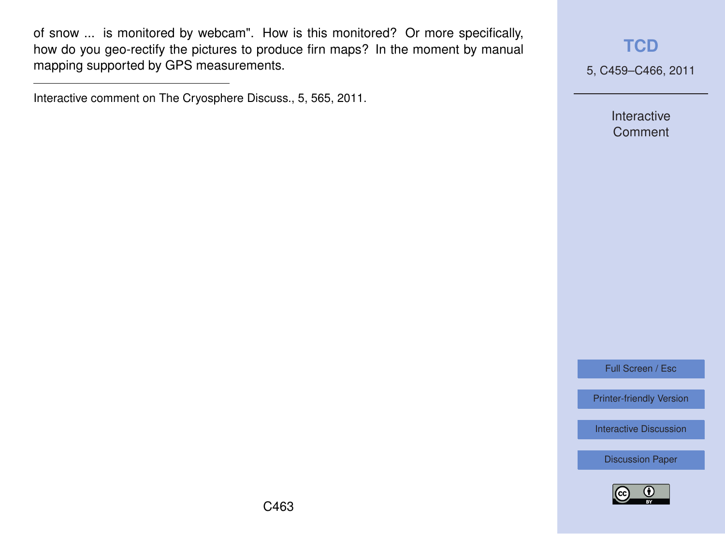of snow ... is monitored by webcam". How is this monitored? Or more specifically, how do you geo-rectify the pictures to produce firn maps? In the moment by manual mapping supported by GPS measurements.

Interactive comment on The Cryosphere Discuss., 5, 565, 2011.

**[TCD](http://www.the-cryosphere-discuss.net)**

5, C459–C466, 2011

Interactive **Comment** 

Full Screen / Esc

[Printer-friendly Version](http://www.the-cryosphere-discuss.net/5/C459/2011/tcd-5-C459-2011-print.pdf)

[Interactive Discussion](http://www.the-cryosphere-discuss.net/5/565/2011/tcd-5-565-2011-discussion.html)

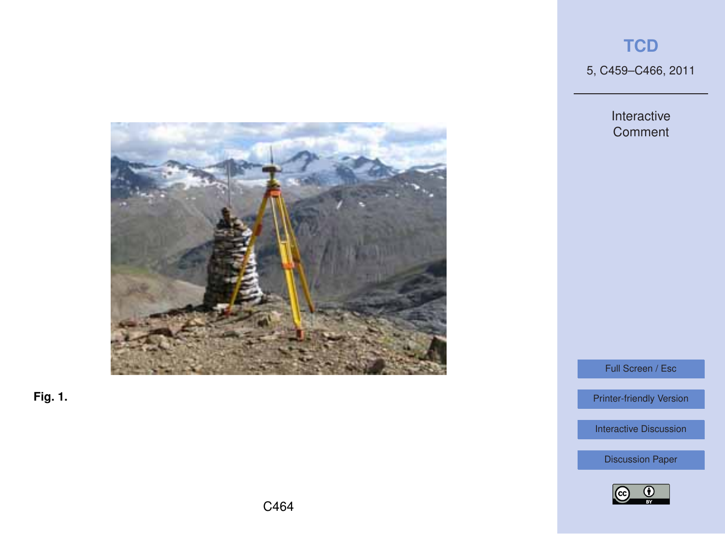5, C459–C466, 2011

Interactive **Comment** 



**Fig. 1.**

Full Screen / Esc

[Printer-friendly Version](http://www.the-cryosphere-discuss.net/5/C459/2011/tcd-5-C459-2011-print.pdf)

[Interactive Discussion](http://www.the-cryosphere-discuss.net/5/565/2011/tcd-5-565-2011-discussion.html)

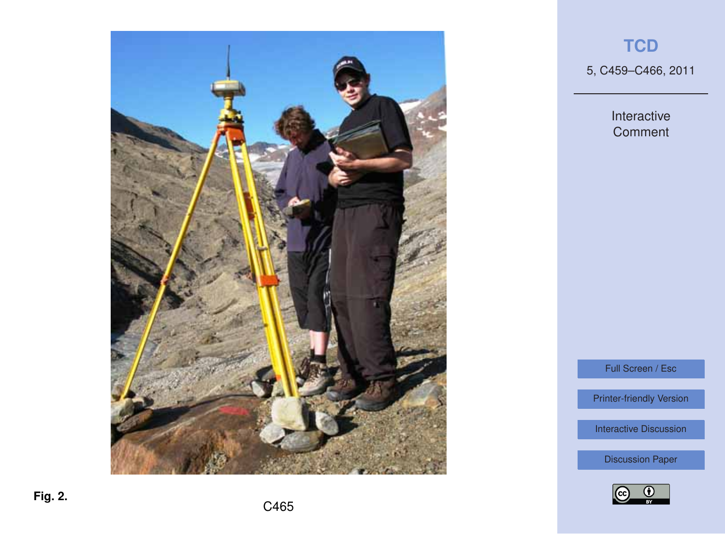

5, C459–C466, 2011

Interactive **Comment** 

Full Screen / Esc

[Printer-friendly Version](http://www.the-cryosphere-discuss.net/5/C459/2011/tcd-5-C459-2011-print.pdf)

[Interactive Discussion](http://www.the-cryosphere-discuss.net/5/565/2011/tcd-5-565-2011-discussion.html)